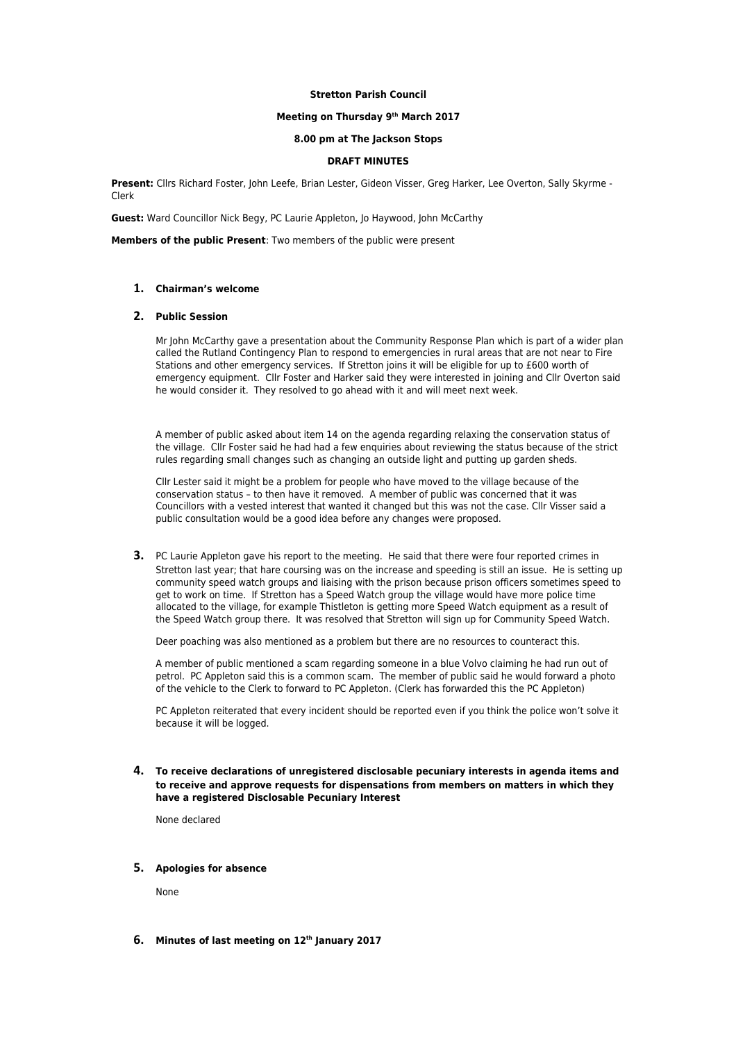#### **Stretton Parish Council**

### **Meeting on Thursday 9th March 2017**

#### **8.00 pm at The Jackson Stops**

### **DRAFT MINUTES**

**Present:** Cllrs Richard Foster, John Leefe, Brian Lester, Gideon Visser, Greg Harker, Lee Overton, Sally Skyrme - Clerk

**Guest:** Ward Councillor Nick Begy, PC Laurie Appleton, Jo Haywood, John McCarthy

**Members of the public Present**: Two members of the public were present

#### **1. Chairman's welcome**

#### **2. Public Session**

Mr John McCarthy gave a presentation about the Community Response Plan which is part of a wider plan called the Rutland Contingency Plan to respond to emergencies in rural areas that are not near to Fire Stations and other emergency services. If Stretton joins it will be eligible for up to £600 worth of emergency equipment. Cllr Foster and Harker said they were interested in joining and Cllr Overton said he would consider it. They resolved to go ahead with it and will meet next week.

A member of public asked about item 14 on the agenda regarding relaxing the conservation status of the village. Cllr Foster said he had had a few enquiries about reviewing the status because of the strict rules regarding small changes such as changing an outside light and putting up garden sheds.

Cllr Lester said it might be a problem for people who have moved to the village because of the conservation status – to then have it removed. A member of public was concerned that it was Councillors with a vested interest that wanted it changed but this was not the case. Cllr Visser said a public consultation would be a good idea before any changes were proposed.

**3.** PC Laurie Appleton gave his report to the meeting. He said that there were four reported crimes in Stretton last year; that hare coursing was on the increase and speeding is still an issue. He is setting up community speed watch groups and liaising with the prison because prison officers sometimes speed to get to work on time. If Stretton has a Speed Watch group the village would have more police time allocated to the village, for example Thistleton is getting more Speed Watch equipment as a result of the Speed Watch group there. It was resolved that Stretton will sign up for Community Speed Watch.

Deer poaching was also mentioned as a problem but there are no resources to counteract this.

A member of public mentioned a scam regarding someone in a blue Volvo claiming he had run out of petrol. PC Appleton said this is a common scam. The member of public said he would forward a photo of the vehicle to the Clerk to forward to PC Appleton. (Clerk has forwarded this the PC Appleton)

PC Appleton reiterated that every incident should be reported even if you think the police won't solve it because it will be logged.

**4. To receive declarations of unregistered disclosable pecuniary interests in agenda items and to receive and approve requests for dispensations from members on matters in which they have a registered Disclosable Pecuniary Interest**

None declared

#### **5. Apologies for absence**

None

**6. Minutes of last meeting on 12th January 2017**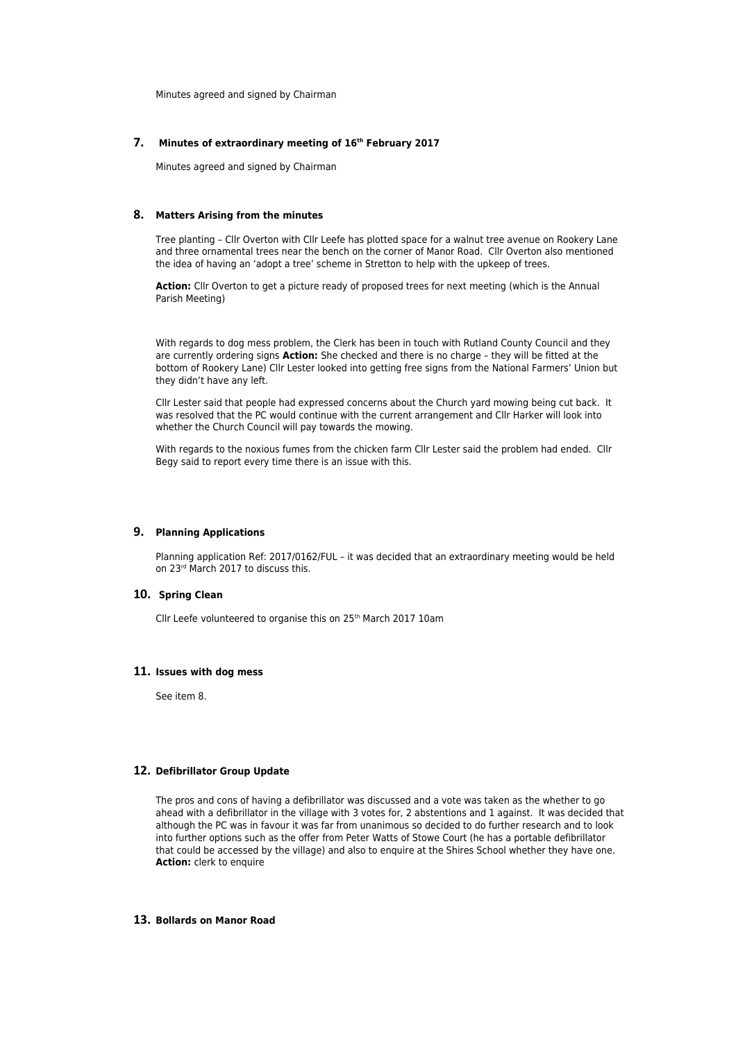Minutes agreed and signed by Chairman

### **7. Minutes of extraordinary meeting of 16th February 2017**

Minutes agreed and signed by Chairman

### **8. Matters Arising from the minutes**

Tree planting – Cllr Overton with Cllr Leefe has plotted space for a walnut tree avenue on Rookery Lane and three ornamental trees near the bench on the corner of Manor Road. Cllr Overton also mentioned the idea of having an 'adopt a tree' scheme in Stretton to help with the upkeep of trees.

**Action:** Cllr Overton to get a picture ready of proposed trees for next meeting (which is the Annual Parish Meeting)

With regards to dog mess problem, the Clerk has been in touch with Rutland County Council and they are currently ordering signs **Action:** She checked and there is no charge – they will be fitted at the bottom of Rookery Lane) Cllr Lester looked into getting free signs from the National Farmers' Union but they didn't have any left.

Cllr Lester said that people had expressed concerns about the Church yard mowing being cut back. It was resolved that the PC would continue with the current arrangement and Cllr Harker will look into whether the Church Council will pay towards the mowing.

With regards to the noxious fumes from the chicken farm Cllr Lester said the problem had ended. Cllr Begy said to report every time there is an issue with this.

#### **9. Planning Applications**

Planning application Ref: 2017/0162/FUL – it was decided that an extraordinary meeting would be held on 23<sup>rd</sup> March 2017 to discuss this.

# **10. Spring Clean**

Cllr Leefe volunteered to organise this on 25<sup>th</sup> March 2017 10am

#### **11. Issues with dog mess**

See item 8.

### **12. Defibrillator Group Update**

The pros and cons of having a defibrillator was discussed and a vote was taken as the whether to go ahead with a defibrillator in the village with 3 votes for, 2 abstentions and 1 against. It was decided that although the PC was in favour it was far from unanimous so decided to do further research and to look into further options such as the offer from Peter Watts of Stowe Court (he has a portable defibrillator that could be accessed by the village) and also to enquire at the Shires School whether they have one. **Action:** clerk to enquire

## **13. Bollards on Manor Road**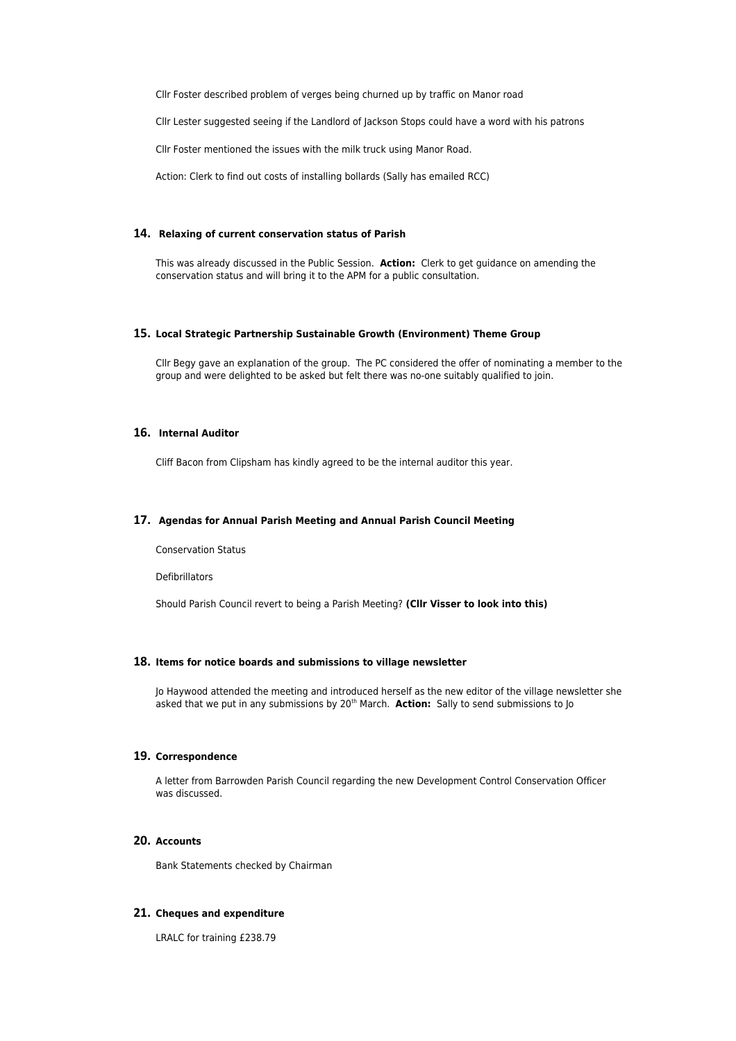Cllr Foster described problem of verges being churned up by traffic on Manor road

Cllr Lester suggested seeing if the Landlord of lackson Stops could have a word with his patrons

Cllr Foster mentioned the issues with the milk truck using Manor Road.

Action: Clerk to find out costs of installing bollards (Sally has emailed RCC)

## **14. Relaxing of current conservation status of Parish**

This was already discussed in the Public Session. **Action:** Clerk to get guidance on amending the conservation status and will bring it to the APM for a public consultation.

#### **15. Local Strategic Partnership Sustainable Growth (Environment) Theme Group**

Cllr Begy gave an explanation of the group. The PC considered the offer of nominating a member to the group and were delighted to be asked but felt there was no-one suitably qualified to join.

#### **16. Internal Auditor**

Cliff Bacon from Clipsham has kindly agreed to be the internal auditor this year.

# **17. Agendas for Annual Parish Meeting and Annual Parish Council Meeting**

Conservation Status

Defibrillators

Should Parish Council revert to being a Parish Meeting? **(Cllr Visser to look into this)**

#### **18. Items for notice boards and submissions to village newsletter**

Jo Haywood attended the meeting and introduced herself as the new editor of the village newsletter she asked that we put in any submissions by 20<sup>th</sup> March. **Action:** Sally to send submissions to Jo

# **19. Correspondence**

A letter from Barrowden Parish Council regarding the new Development Control Conservation Officer was discussed.

# **20. Accounts**

Bank Statements checked by Chairman

# **21. Cheques and expenditure**

LRALC for training £238.79